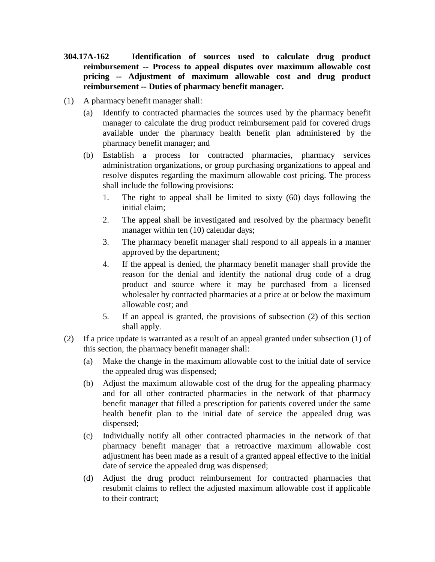- **304.17A-162 Identification of sources used to calculate drug product reimbursement -- Process to appeal disputes over maximum allowable cost pricing -- Adjustment of maximum allowable cost and drug product reimbursement -- Duties of pharmacy benefit manager.**
- (1) A pharmacy benefit manager shall:
	- (a) Identify to contracted pharmacies the sources used by the pharmacy benefit manager to calculate the drug product reimbursement paid for covered drugs available under the pharmacy health benefit plan administered by the pharmacy benefit manager; and
	- (b) Establish a process for contracted pharmacies, pharmacy services administration organizations, or group purchasing organizations to appeal and resolve disputes regarding the maximum allowable cost pricing. The process shall include the following provisions:
		- 1. The right to appeal shall be limited to sixty (60) days following the initial claim;
		- 2. The appeal shall be investigated and resolved by the pharmacy benefit manager within ten (10) calendar days;
		- 3. The pharmacy benefit manager shall respond to all appeals in a manner approved by the department;
		- 4. If the appeal is denied, the pharmacy benefit manager shall provide the reason for the denial and identify the national drug code of a drug product and source where it may be purchased from a licensed wholesaler by contracted pharmacies at a price at or below the maximum allowable cost; and
		- 5. If an appeal is granted, the provisions of subsection (2) of this section shall apply.
- (2) If a price update is warranted as a result of an appeal granted under subsection (1) of this section, the pharmacy benefit manager shall:
	- (a) Make the change in the maximum allowable cost to the initial date of service the appealed drug was dispensed;
	- (b) Adjust the maximum allowable cost of the drug for the appealing pharmacy and for all other contracted pharmacies in the network of that pharmacy benefit manager that filled a prescription for patients covered under the same health benefit plan to the initial date of service the appealed drug was dispensed;
	- (c) Individually notify all other contracted pharmacies in the network of that pharmacy benefit manager that a retroactive maximum allowable cost adjustment has been made as a result of a granted appeal effective to the initial date of service the appealed drug was dispensed;
	- (d) Adjust the drug product reimbursement for contracted pharmacies that resubmit claims to reflect the adjusted maximum allowable cost if applicable to their contract;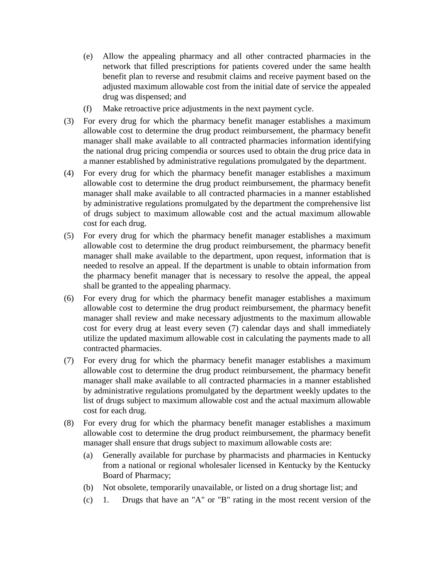- (e) Allow the appealing pharmacy and all other contracted pharmacies in the network that filled prescriptions for patients covered under the same health benefit plan to reverse and resubmit claims and receive payment based on the adjusted maximum allowable cost from the initial date of service the appealed drug was dispensed; and
- (f) Make retroactive price adjustments in the next payment cycle.
- (3) For every drug for which the pharmacy benefit manager establishes a maximum allowable cost to determine the drug product reimbursement, the pharmacy benefit manager shall make available to all contracted pharmacies information identifying the national drug pricing compendia or sources used to obtain the drug price data in a manner established by administrative regulations promulgated by the department.
- (4) For every drug for which the pharmacy benefit manager establishes a maximum allowable cost to determine the drug product reimbursement, the pharmacy benefit manager shall make available to all contracted pharmacies in a manner established by administrative regulations promulgated by the department the comprehensive list of drugs subject to maximum allowable cost and the actual maximum allowable cost for each drug.
- (5) For every drug for which the pharmacy benefit manager establishes a maximum allowable cost to determine the drug product reimbursement, the pharmacy benefit manager shall make available to the department, upon request, information that is needed to resolve an appeal. If the department is unable to obtain information from the pharmacy benefit manager that is necessary to resolve the appeal, the appeal shall be granted to the appealing pharmacy.
- (6) For every drug for which the pharmacy benefit manager establishes a maximum allowable cost to determine the drug product reimbursement, the pharmacy benefit manager shall review and make necessary adjustments to the maximum allowable cost for every drug at least every seven (7) calendar days and shall immediately utilize the updated maximum allowable cost in calculating the payments made to all contracted pharmacies.
- (7) For every drug for which the pharmacy benefit manager establishes a maximum allowable cost to determine the drug product reimbursement, the pharmacy benefit manager shall make available to all contracted pharmacies in a manner established by administrative regulations promulgated by the department weekly updates to the list of drugs subject to maximum allowable cost and the actual maximum allowable cost for each drug.
- (8) For every drug for which the pharmacy benefit manager establishes a maximum allowable cost to determine the drug product reimbursement, the pharmacy benefit manager shall ensure that drugs subject to maximum allowable costs are:
	- (a) Generally available for purchase by pharmacists and pharmacies in Kentucky from a national or regional wholesaler licensed in Kentucky by the Kentucky Board of Pharmacy;
	- (b) Not obsolete, temporarily unavailable, or listed on a drug shortage list; and
	- (c) 1. Drugs that have an "A" or "B" rating in the most recent version of the